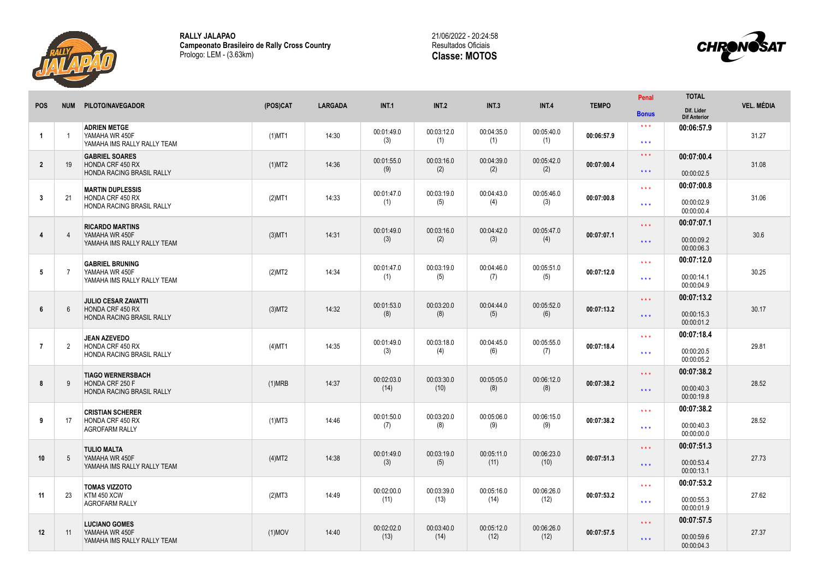

**RALLY JALAPAO Campeonato Brasileiro de Rally Cross Country** Prologo: LEM - (3.63km)





|                |                |                                                                                      |           |                |                    |                    |                    |                    |              | Penal                                    | <b>TOTAL</b>                           |                   |
|----------------|----------------|--------------------------------------------------------------------------------------|-----------|----------------|--------------------|--------------------|--------------------|--------------------|--------------|------------------------------------------|----------------------------------------|-------------------|
| <b>POS</b>     | <b>NUM</b>     | PILOTO/NAVEGADOR                                                                     | (POS)CAT  | <b>LARGADA</b> | <b>INT.1</b>       | <b>INT.2</b>       | <b>INT.3</b>       | <b>INT.4</b>       | <b>TEMPO</b> | <b>Bonus</b>                             | Dif. Lider<br><b>Dif Anterior</b>      | <b>VEL. MÉDIA</b> |
| -1             | $\overline{1}$ | <b>ADRIEN METGE</b><br>YAMAHA WR 450F<br>YAMAHA IMS RALLY RALLY TEAM                 | $(1)$ MT1 | 14:30          | 00:01:49.0<br>(3)  | 00:03:12.0<br>(1)  | 00:04:35.0<br>(1)  | 00:05:40.0<br>(1)  | 00:06:57.9   | $\star\star\star$<br>$\star\star\star$   | 00:06:57.9                             | 31.27             |
| $\overline{2}$ | 19             | <b>GABRIEL SOARES</b><br><b>HONDA CRF 450 RX</b><br><b>HONDA RACING BRASIL RALLY</b> | (1)MT2    | 14:36          | 00:01:55.0<br>(9)  | 00:03:16.0<br>(2)  | 00:04:39.0<br>(2)  | 00:05:42.0<br>(2)  | 00:07:00.4   | $\star\star\star$<br>$\star\star\star$   | 00:07:00.4<br>00:00:02.5               | 31.08             |
| $\overline{3}$ | 21             | <b>MARTIN DUPLESSIS</b><br>HONDA CRF 450 RX<br><b>HONDA RACING BRASIL RALLY</b>      | $(2)$ MT1 | 14:33          | 00:01:47.0<br>(1)  | 00:03:19.0<br>(5)  | 00:04:43.0<br>(4)  | 00:05:46.0<br>(3)  | 00:07:00.8   | $\star \star \star$<br>$\star\star\star$ | 00:07:00.8<br>00:00:02.9<br>00:00:00.4 | 31.06             |
| 4              | $\overline{4}$ | <b>RICARDO MARTINS</b><br>YAMAHA WR 450F<br>YAMAHA IMS RALLY RALLY TEAM              | $(3)$ MT1 | 14:31          | 00:01:49.0<br>(3)  | 00:03:16.0<br>(2)  | 00:04:42.0<br>(3)  | 00:05:47.0<br>(4)  | 00:07:07.1   | $\star\star\star$<br>$\star\star\star$   | 00:07:07.1<br>00:00:09.2<br>00:00:06.3 | 30.6              |
| 5              | $\overline{7}$ | <b>GABRIEL BRUNING</b><br>YAMAHA WR 450F<br>YAMAHA IMS RALLY RALLY TEAM              | (2)MT2    | 14:34          | 00:01:47.0<br>(1)  | 00:03:19.0<br>(5)  | 00:04:46.0<br>(7)  | 00:05:51.0<br>(5)  | 00:07:12.0   | $\star\star\star$<br>$\star\star\star$   | 00:07:12.0<br>00:00:14.1<br>00:00:04.9 | 30.25             |
| $6\phantom{.}$ | 6              | <b>JULIO CESAR ZAVATTI</b><br>HONDA CRF 450 RX<br><b>HONDA RACING BRASIL RALLY</b>   | (3)MT2    | 14:32          | 00:01:53.0<br>(8)  | 00:03:20.0<br>(8)  | 00:04:44.0<br>(5)  | 00:05:52.0<br>(6)  | 00:07:13.2   | $\star\star\star$<br>$\star\star\star$   | 00:07:13.2<br>00:00:15.3<br>00:00:01.2 | 30.17             |
| $\overline{7}$ | 2              | <b>JEAN AZEVEDO</b><br>HONDA CRF 450 RX<br>HONDA RACING BRASIL RALLY                 | $(4)$ MT1 | 14:35          | 00:01:49.0<br>(3)  | 00:03:18.0<br>(4)  | 00:04:45.0<br>(6)  | 00:05:55.0<br>(7)  | 00:07:18.4   | $\star \star \star$<br>$\star\star\star$ | 00:07:18.4<br>00:00:20.5<br>00:00:05.2 | 29.81             |
| 8              | 9              | <b>TIAGO WERNERSBACH</b><br>HONDA CRF 250 F<br><b>HONDA RACING BRASIL RALLY</b>      | (1)MRB    | 14:37          | 00:02:03.0<br>(14) | 00:03:30.0<br>(10) | 00:05:05.0<br>(8)  | 00:06:12.0<br>(8)  | 00:07:38.2   | $\star\star\star$<br>$\star\star\star$   | 00:07:38.2<br>00:00:40.3<br>00:00:19.8 | 28.52             |
| 9              | 17             | <b>CRISTIAN SCHERER</b><br>HONDA CRF 450 RX<br><b>AGROFARM RALLY</b>                 | $(1)$ MT3 | 14:46          | 00:01:50.0<br>(7)  | 00:03:20.0<br>(8)  | 00:05:06.0<br>(9)  | 00:06:15.0<br>(9)  | 00:07:38.2   | $\star\star\star$<br>$\star\star\star$   | 00:07:38.2<br>00:00:40.3<br>00:00:00.0 | 28.52             |
| 10             | 5              | <b>TULIO MALTA</b><br>YAMAHA WR 450F<br>YAMAHA IMS RALLY RALLY TEAM                  | (4)MT2    | 14:38          | 00:01:49.0<br>(3)  | 00:03:19.0<br>(5)  | 00:05:11.0<br>(11) | 00:06:23.0<br>(10) | 00:07:51.3   | $\star \star \star$<br>$\star\star\star$ | 00:07:51.3<br>00:00:53.4<br>00:00:13.1 | 27.73             |
| 11             | 23             | <b>TOMAS VIZZOTO</b><br>KTM 450 XCW<br><b>AGROFARM RALLY</b>                         | (2)MT3    | 14:49          | 00:02:00.0<br>(11) | 00:03:39.0<br>(13) | 00:05:16.0<br>(14) | 00:06:26.0<br>(12) | 00:07:53.2   | $\star\star\star$<br>$\star \star \star$ | 00:07:53.2<br>00:00:55.3<br>00:00:01.9 | 27.62             |
| 12             | 11             | <b>LUCIANO GOMES</b><br>YAMAHA WR 450F<br>YAMAHA IMS RALLY RALLY TEAM                | $(1)$ MOV | 14:40          | 00:02:02.0<br>(13) | 00:03:40.0<br>(14) | 00:05:12.0<br>(12) | 00:06:26.0<br>(12) | 00:07:57.5   | $\star\star\star$<br>$\star\star\star$   | 00:07:57.5<br>00:00:59.6<br>00:00:04.3 | 27.37             |